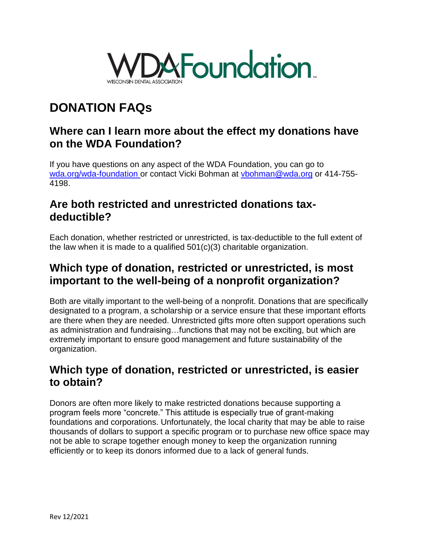

# **DONATION FAQs**

#### **Where can I learn more about the effect my donations have on the WDA Foundation?**

If you have questions on any aspect of the WDA Foundation, you can go to [wda.org/wda-foundation o](https://wisconsin-live.ae-admin.com/wda-foundation)r contact Vicki Bohman at [vbohman@wda.org](mailto:vbohman@wda.org) or 414-755-4198.

## **Are both restricted and unrestricted donations taxdeductible?**

Each donation, whether restricted or unrestricted, is tax-deductible to the full extent of the law when it is made to a qualified 501(c)(3) charitable organization.

## **Which type of donation, restricted or unrestricted, is most important to the well-being of a nonprofit organization?**

Both are vitally important to the well-being of a nonprofit. Donations that are specifically designated to a program, a scholarship or a service ensure that these important efforts are there when they are needed. Unrestricted gifts more often support operations such as administration and fundraising…functions that may not be exciting, but which are extremely important to ensure good management and future sustainability of the organization.

# **Which type of donation, restricted or unrestricted, is easier to obtain?**

Donors are often more likely to make restricted donations because supporting a program feels more "concrete." This attitude is especially true of grant-making foundations and corporations. Unfortunately, the local charity that may be able to raise thousands of dollars to support a specific program or to purchase new office space may not be able to scrape together enough money to keep the organization running efficiently or to keep its donors informed due to a lack of general funds.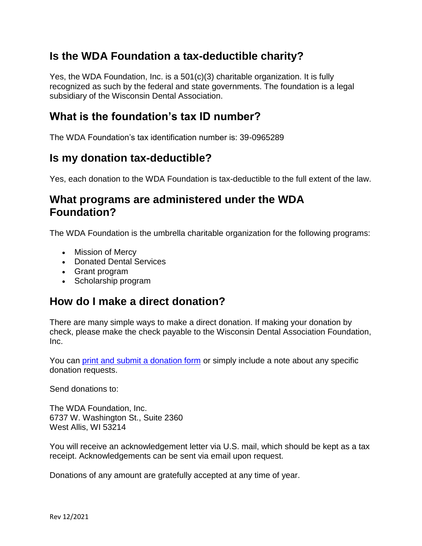# **Is the WDA Foundation a tax-deductible charity?**

Yes, the WDA Foundation, Inc. is a 501(c)(3) charitable organization. It is fully recognized as such by the federal and state governments. The foundation is a legal subsidiary of the Wisconsin Dental Association.

#### **What is the foundation's tax ID number?**

The WDA Foundation's tax identification number is: 39-0965289

## **Is my donation tax-deductible?**

Yes, each donation to the WDA Foundation is tax-deductible to the full extent of the law.

#### **What programs are administered under the WDA Foundation?**

The WDA Foundation is the umbrella charitable organization for the following programs:

- Mission of Mercy
- Donated Dental Services
- Grant program
- Scholarship program

#### **How do I make a direct donation?**

There are many simple ways to make a direct donation. If making your donation by check, please make the check payable to the Wisconsin Dental Association Foundation, Inc.

You can [print and submit a donation form](https://sitefinity.ada.org/docs/librariesprovider54/default-document-library/wisconsin-dental-association-foundation-donation-form-2019b42090ddb07d6e0c8f46ff0000eea05b.pdf?sfvrsn=fb5dfe8a_0) or simply include a note about any specific donation requests.

Send donations to:

The WDA Foundation, Inc. 6737 W. Washington St., Suite 2360 West Allis, WI 53214

You will receive an acknowledgement letter via U.S. mail, which should be kept as a tax receipt. Acknowledgements can be sent via email upon request.

Donations of any amount are gratefully accepted at any time of year.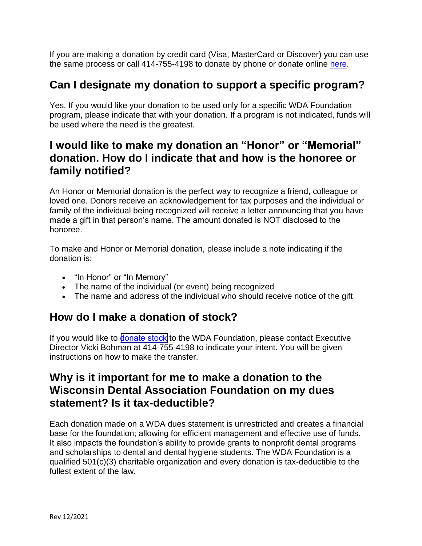If you are making a donation by credit card (Visa, MasterCard or Discover) you can use the same process or call 414-755-4198 to donate by phone or donate online [here.](https://secure.givelively.org/donate/wisconsin-dental-association-foundation-inc)

# **Can I designate my donation to support a specific program?**

Yes. If you would like your donation to be used only for a specific WDA Foundation program, please indicate that with your donation. If a program is not indicated, funds will be used where the need is the greatest.

# **I would like to make my donation an "Honor" or "Memorial" donation. How do I indicate that and how is the honoree or family notified?**

An Honor or Memorial donation is the perfect way to recognize a friend, colleague or loved one. Donors receive an acknowledgement for tax purposes and the individual or family of the individual being recognized will receive a letter announcing that you have made a gift in that person's name. The amount donated is NOT disclosed to the honoree.

To make and Honor or Memorial donation, please include a note indicating if the donation is:

- "In Honor" or "In Memory"
- The name of the individual (or event) being recognized
- The name and address of the individual who should receive notice of the gift

# **How do I make a donation of stock?**

If you would like to [donate stock](https://wisconsin-live.ae-admin.com/wda-foundation/donate#stocks) to the WDA Foundation, please contact Executive Director Vicki Bohman at 414-755-4198 to indicate your intent. You will be given instructions on how to make the transfer.

# **Why is it important for me to make a donation to the Wisconsin Dental Association Foundation on my dues statement? Is it tax-deductible?**

Each donation made on a WDA dues statement is unrestricted and creates a financial base for the foundation; allowing for efficient management and effective use of funds. It also impacts the foundation's ability to provide grants to nonprofit dental programs and scholarships to dental and dental hygiene students. The WDA Foundation is a qualified 501(c)(3) charitable organization and every donation is tax-deductible to the fullest extent of the law.